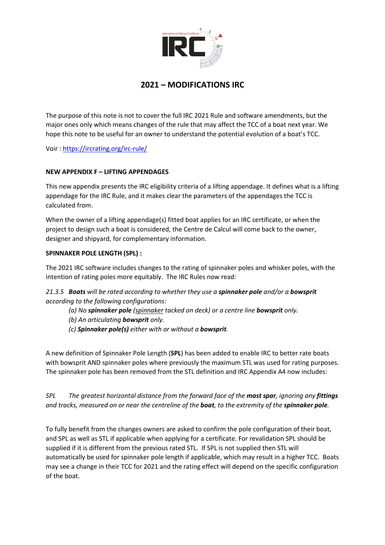

# **2021 – MODIFICATIONS IRC**

The purpose of this note is not to cover the full IRC 2021 Rule and software amendments, but the major ones only which means changes of the rule that may affect the TCC of a boat next year. We hope this note to be useful for an owner to understand the potential evolution of a boat's TCC.

Voir : https://ircrating.org/irc-rule/

# **NEW APPENDIX F – LIFTING APPENDAGES**

This new appendix presents the IRC eligibility criteria of a lifting appendage. It defines what is a lifting appendage for the IRC Rule, and it makes clear the parameters of the appendages the TCC is calculated from.

When the owner of a lifting appendage(s) fitted boat applies for an IRC certificate, or when the project to design such a boat is considered, the Centre de Calcul will come back to the owner, designer and shipyard, for complementary information.

#### **SPINNAKER POLE LENGTH (SPL) :**

The 2021 IRC software includes changes to the rating of spinnaker poles and whisker poles, with the intention of rating poles more equitably. The IRC Rules now read:

# *21.3.5 Boats will be rated according to whether they use a spinnaker pole and/or a bowsprit according to the following configurations:*

 *(a) No spinnaker pole (spinnaker tacked on deck) or a centre line bowsprit only.* 

 *(b) An articulating bowsprit only.* 

 *(c) Spinnaker pole(s) either with or without a bowsprit.* 

A new definition of Spinnaker Pole Length (**SPL**) has been added to enable IRC to better rate boats with bowsprit AND spinnaker poles where previously the maximum STL was used for rating purposes. The spinnaker pole has been removed from the STL definition and IRC Appendix A4 now includes:

*SPL The greatest horizontal distance from the forward face of the mast spar, ignoring any fittings and tracks, measured on or near the centreline of the boat, to the extremity of the spinnaker pole.* 

To fully benefit from the changes owners are asked to confirm the pole configuration of their boat, and SPL as well as STL if applicable when applying for a certificate. For revalidation SPL should be supplied if it is different from the previous rated STL. If SPL is not supplied then STL will automatically be used for spinnaker pole length if applicable, which may result in a higher TCC. Boats may see a change in their TCC for 2021 and the rating effect will depend on the specific configuration of the boat.